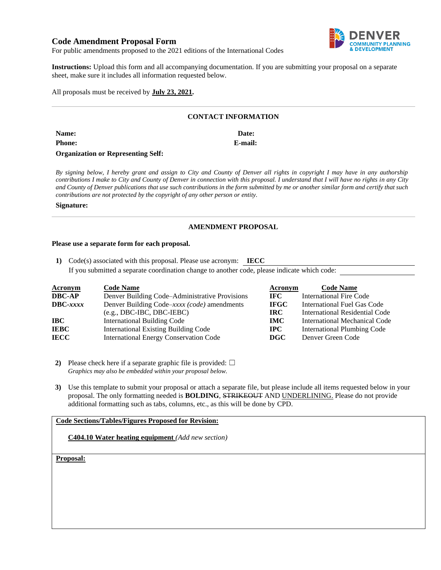# **Code Amendment Proposal Form**



For public amendments proposed to the 2021 editions of the International Codes

**Instructions:** Upload this form and all accompanying documentation. If you are submitting your proposal on a separate sheet, make sure it includes all information requested below.

All proposals must be received by **July 23, 2021.**

#### **CONTACT INFORMATION**

| <b>Name:</b>                              | Date:   |
|-------------------------------------------|---------|
| <b>Phone:</b>                             | E-mail: |
| <b>Organization or Representing Self:</b> |         |

*By signing below, I hereby grant and assign to City and County of Denver all rights in copyright I may have in any authorship contributions I make to City and County of Denver in connection with this proposal. I understand that I will have no rights in any City and County of Denver publications that use such contributions in the form submitted by me or another similar form and certify that such contributions are not protected by the copyright of any other person or entity.* 

#### **Signature:**

#### **AMENDMENT PROPOSAL**

#### **Please use a separate form for each proposal.**

**1)** Code(s) associated with this proposal. Please use acronym: **IECC** If you submitted a separate coordination change to another code, please indicate which code:

| <b>Acronym</b>    | <b>Code Name</b>                               | Acronym     | <b>Code Name</b>                   |
|-------------------|------------------------------------------------|-------------|------------------------------------|
| <b>DBC-AP</b>     | Denver Building Code–Administrative Provisions | IFC -       | <b>International Fire Code</b>     |
| $\text{DBC}-xxxx$ | Denver Building Code-xxxx (code) amendments    | <b>IFGC</b> | International Fuel Gas Code        |
|                   | $(e.g., DBC-IBC, DBC-IEBC)$                    | IRC.        | International Residential Code     |
| IBC               | <b>International Building Code</b>             | <b>IMC</b>  | International Mechanical Code      |
| <b>IEBC</b>       | <b>International Existing Building Code</b>    | $\bf{IPC}$  | <b>International Plumbing Code</b> |
| <b>IECC</b>       | <b>International Energy Conservation Code</b>  | <b>DGC</b>  | Denver Green Code                  |

**2)** Please check here if a separate graphic file is provided:  $\Box$ *Graphics may also be embedded within your proposal below.*

**3)** Use this template to submit your proposal or attach a separate file, but please include all items requested below in your proposal. The only formatting needed is **BOLDING**, STRIKEOUT AND UNDERLINING. Please do not provide additional formatting such as tabs, columns, etc., as this will be done by CPD.

## **Code Sections/Tables/Figures Proposed for Revision:**

**C404.10 Water heating equipment** *(Add new section)*

**Proposal:**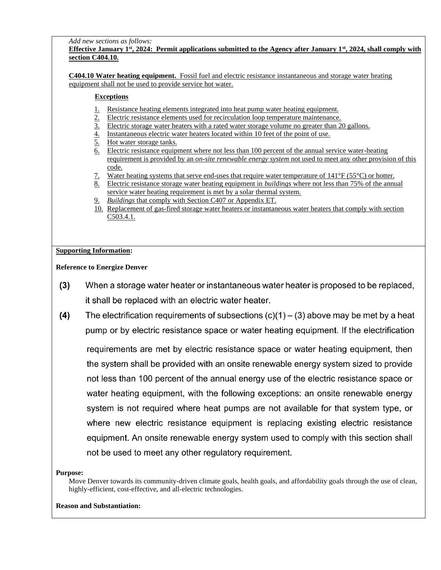*Add new sections as follows:*

# **Effective January 1st, 2024: Permit applications submitted to the Agency after January 1st, 2024, shall comply with section C404.10.**

**C404.10 Water heating equipment.** Fossil fuel and electric resistance instantaneous and storage water heating equipment shall not be used to provide service hot water*.* 

## **Exceptions**

- 1. Resistance heating elements integrated into heat pump water heating equipment.
- 2. Electric resistance elements used for recirculation loop temperature maintenance.
- 3. Electric storage water heaters with a rated water storage volume no greater than 20 gallons.
- 4. Instantaneous electric water heaters located within 10 feet of the point of use.
- 5. Hot water storage tanks.
- 6. Electric resistance equipment where not less than 100 percent of the annual service water-heating requirement is provided by an *on-site renewable energy system* not used to meet any other provision of this code.
- 7. Water heating systems that serve end-uses that require water temperature of 141°F (55°C) or hotter.
- 8. Electric resistance storage water heating equipment in *buildings* where not less than 75% of the annual service water heating requirement is met by a solar thermal system.
- 9. *Buildings* that comply with Section C407 or Appendix ET.
- 10. Replacement of gas-fired storage water heaters or instantaneous water heaters that comply with section C503.4.1.

## **Supporting Information:**

**Reference to Energize Denver**

- $(3)$ When a storage water heater or instantaneous water heater is proposed to be replaced, it shall be replaced with an electric water heater.
- The electrification requirements of subsections  $(c)(1) (3)$  above may be met by a heat  $(4)$ pump or by electric resistance space or water heating equipment. If the electrification requirements are met by electric resistance space or water heating equipment, then the system shall be provided with an onsite renewable energy system sized to provide not less than 100 percent of the annual energy use of the electric resistance space or water heating equipment, with the following exceptions: an onsite renewable energy system is not required where heat pumps are not available for that system type, or where new electric resistance equipment is replacing existing electric resistance equipment. An onsite renewable energy system used to comply with this section shall not be used to meet any other regulatory requirement.

# **Purpose:**

Move Denver towards its community-driven climate goals, health goals, and affordability goals through the use of clean, highly-efficient, cost-effective, and all-electric technologies.

### **Reason and Substantiation:**